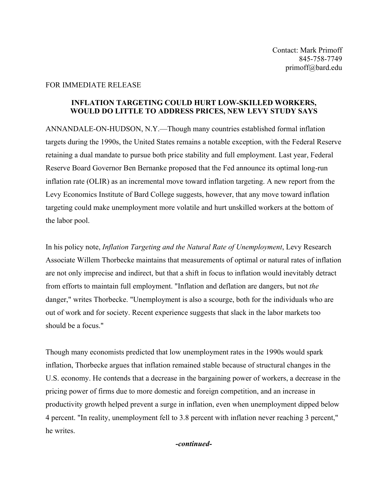## FOR IMMEDIATE RELEASE

## **INFLATION TARGETING COULD HURT LOW-SKILLED WORKERS, WOULD DO LITTLE TO ADDRESS PRICES, NEW LEVY STUDY SAYS**

ANNANDALE-ON-HUDSON, N.Y.—Though many countries established formal inflation targets during the 1990s, the United States remains a notable exception, with the Federal Reserve retaining a dual mandate to pursue both price stability and full employment. Last year, Federal Reserve Board Governor Ben Bernanke proposed that the Fed announce its optimal long-run inflation rate (OLIR) as an incremental move toward inflation targeting. A new report from the Levy Economics Institute of Bard College suggests, however, that any move toward inflation targeting could make unemployment more volatile and hurt unskilled workers at the bottom of the labor pool.

In his policy note, *Inflation Targeting and the Natural Rate of Unemployment*, Levy Research Associate Willem Thorbecke maintains that measurements of optimal or natural rates of inflation are not only imprecise and indirect, but that a shift in focus to inflation would inevitably detract from efforts to maintain full employment. "Inflation and deflation are dangers, but not *the* danger," writes Thorbecke. "Unemployment is also a scourge, both for the individuals who are out of work and for society. Recent experience suggests that slack in the labor markets too should be a focus."

Though many economists predicted that low unemployment rates in the 1990s would spark inflation, Thorbecke argues that inflation remained stable because of structural changes in the U.S. economy. He contends that a decrease in the bargaining power of workers, a decrease in the pricing power of firms due to more domestic and foreign competition, and an increase in productivity growth helped prevent a surge in inflation, even when unemployment dipped below 4 percent. "In reality, unemployment fell to 3.8 percent with inflation never reaching 3 percent," he writes.

## *-continued-*